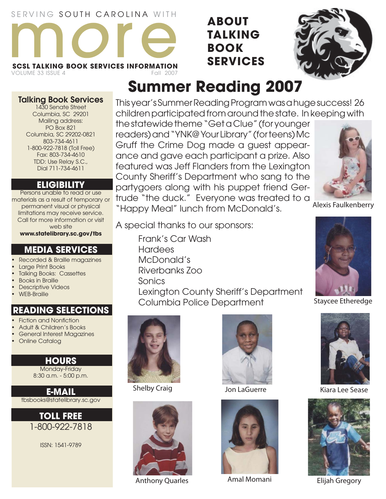## SERVING SOUTH CAROLINA WITH



VOLUME 33 ISSUE 4

**Talking Book Services** 1430 Senate Street Columbia, SC 29201 Mailing address: PO Box 821 Columbia, SC 29202-0821 803-734-4611 1-800-922-7818 (Toll Free) Fax: 803-734-4610 TDD: Use Relay S.C., Dial 711-734-4611

**ELIGIBILITY** Persons unable to read or use materials as a result of temporary or permanent visual or physical limitations may receive service. Call for more information or visit web site **www.statelibrary.sc.gov/tbs**

**MEDIA SERVICES** Recorded & Braille magazines

## **ABOUT TALKING BOOK SERVICES**



## **Summer Reading 2007**

This year's Summer Reading Program was a huge success! 26 children participated from around the state. In keeping with

the statewide theme "Get a Clue" (for younger readers) and "YNK@ Your Library" (for teens) Mc Gruff the Crime Dog made a guest appearance and gave each participant a prize. Also featured was Jeff Flanders from the Lexington County Sheriff's Department who sang to the partygoers along with his puppet friend Gertrude "the duck." Everyone was treated to a "Happy Meal" lunch from McDonald's.

A special thanks to our sponsors:

 Frank's Car Wash **Hardees**  McDonald's Riverbanks Zoo Sonics Lexington County Sheriff's Department Columbia Police Department



Shelby Craig



Anthony Quarles Amal Momani







Alexis Faulkenberry



Staycee Etheredge



Kiara Lee Sease



Elijah Gregory

• Large Print Books • Talking Books: Cassettes **Descriptive Videos READING SELECTIONS**

- **Fiction and Nonfiction**
- Adult & Children's Books
- General Interest Magazines
- Online Catalog

• Books in Braille

• WEB-Braille

**HOURS** Monday-Friday 8:30 a.m. - 5:00 p.m.

**E-MAIL** tbsbooks@statelibrary.sc.gov

> **TOLL FREE** 1-800-922-7818

> > ISSN: 1541-9789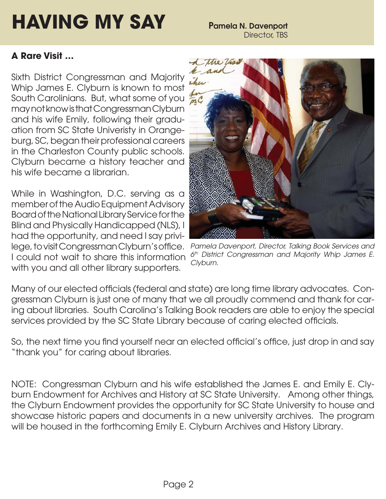# **HAVING MY SAY** Pamela N. Davenport

## **A Rare Visit …**

Sixth District Congressman and Majority Whip James E. Clyburn is known to most South Carolinians. But, what some of you may not know is that Congressman Clyburn and his wife Emily, following their graduation from SC State Univeristy in Orangeburg, SC, began their professional careers in the Charleston County public schools. Clyburn became a history teacher and his wife became a librarian.

While in Washington, D.C. serving as a member of the Audio Equipment Advisory Board of the National Library Service for the Blind and Physically Handicapped (NLS), I had the opportunity, and need I say privilege, to visit Congressman Clyburn's office. I could not wait to share this information with you and all other library supporters.



*Pamela Davenport, Director, Talking Book Services and 6th District Congressman and Majority Whip James E. Clyburn.*

Many of our elected officials (federal and state) are long time library advocates. Congressman Clyburn is just one of many that we all proudly commend and thank for caring about libraries. South Carolina's Talking Book readers are able to enjoy the special services provided by the SC State Library because of caring elected officials.

So, the next time you find yourself near an elected official's office, just drop in and say "thank you" for caring about libraries.

NOTE: Congressman Clyburn and his wife established the James E. and Emily E. Clyburn Endowment for Archives and History at SC State University. Among other things, the Clyburn Endowment provides the opportunity for SC State University to house and showcase historic papers and documents in a new university archives. The program will be housed in the forthcoming Emily E. Clyburn Archives and History Library.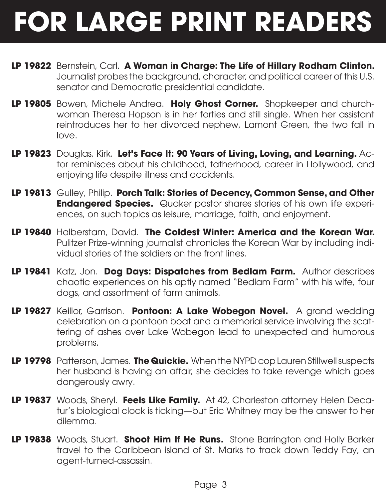# **FOR LARGE PRINT READERS**

- **LP 19822** Bernstein, Carl. **A Woman in Charge: The Life of Hillary Rodham Clinton.**  Journalist probes the background, character, and political career of this U.S. senator and Democratic presidential candidate.
- **LP 19805** Bowen, Michele Andrea. **Holy Ghost Corner.** Shopkeeper and churchwoman Theresa Hopson is in her forties and still single. When her assistant reintroduces her to her divorced nephew, Lamont Green, the two fall in love.
- **LP 19823** Douglas, Kirk. **Let's Face It: 90 Years of Living, Loving, and Learning.** Actor reminisces about his childhood, fatherhood, career in Hollywood, and enjoying life despite illness and accidents.
- **LP 19813** Gulley, Philip. **Porch Talk: Stories of Decency, Common Sense, and Other Endangered Species.** Quaker pastor shares stories of his own life experiences, on such topics as leisure, marriage, faith, and enjoyment.
- **LP 19840** Halberstam, David. **The Coldest Winter: America and the Korean War.**  Pulitzer Prize-winning journalist chronicles the Korean War by including individual stories of the soldiers on the front lines.
- **LP 19841** Katz, Jon. **Dog Days: Dispatches from Bedlam Farm.** Author describes chaotic experiences on his aptly named "Bedlam Farm" with his wife, four dogs, and assortment of farm animals.
- **LP 19827** Keillor, Garrison. **Pontoon: A Lake Wobegon Novel.** A grand wedding celebration on a pontoon boat and a memorial service involving the scattering of ashes over Lake Wobegon lead to unexpected and humorous problems.
- **LP 19798** Patterson, James. **The Quickie.** When the NYPD cop Lauren Stillwell suspects her husband is having an affair, she decides to take revenge which goes dangerously awry.
- **LP 19837** Woods, Sheryl. **Feels Like Family.** At 42, Charleston attorney Helen Decatur's biological clock is ticking—but Eric Whitney may be the answer to her dilemma.
- **LP 19838** Woods, Stuart. **Shoot Him If He Runs.** Stone Barrington and Holly Barker travel to the Caribbean island of St. Marks to track down Teddy Fay, an agent-turned-assassin.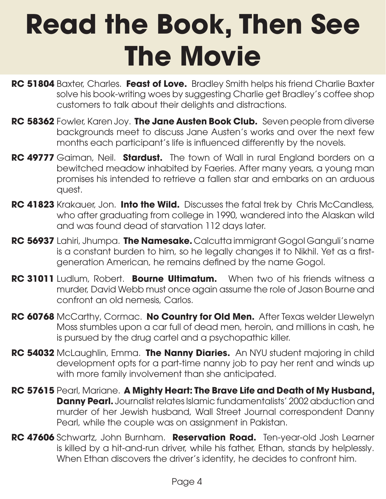# **Read the Book, Then See The Movie**

- **RC 51804** Baxter, Charles. **Feast of Love.** Bradley Smith helps his friend Charlie Baxter solve his book-writing woes by suggesting Charlie get Bradley's coffee shop customers to talk about their delights and distractions.
- **RC 58362** Fowler, Karen Joy. **The Jane Austen Book Club.** Seven people from diverse backgrounds meet to discuss Jane Austen's works and over the next few months each participant's life is influenced differently by the novels.
- **RC 49777** Gaiman, Neil. **Stardust.** The town of Wall in rural England borders on a bewitched meadow inhabited by Faeries. After many years, a young man promises his intended to retrieve a fallen star and embarks on an arduous quest.
- **RC 41823** Krakauer, Jon. **Into the Wild.** Discusses the fatal trek by Chris McCandless, who after graduating from college in 1990, wandered into the Alaskan wild and was found dead of starvation 112 days later.
- **RC 56937** Lahiri, Jhumpa. **The Namesake.** Calcutta immigrant Gogol Ganguli's name is a constant burden to him, so he legally changes it to Nikhil. Yet as a firstgeneration American, he remains defined by the name Gogol.
- **RC 31011** Ludlum, Robert. **Bourne Ultimatum.** When two of his friends witness a murder, David Webb must once again assume the role of Jason Bourne and confront an old nemesis, Carlos.
- **RC 60768** McCarthy, Cormac. **No Country for Old Men.** After Texas welder Llewelyn Moss stumbles upon a car full of dead men, heroin, and millions in cash, he is pursued by the drug cartel and a psychopathic killer.
- **RC 54032** McLaughlin, Emma. **The Nanny Diaries.** An NYU student majoring in child development opts for a part-time nanny job to pay her rent and winds up with more family involvement than she anticipated.
- **RC 57615** Pearl, Mariane. **A Mighty Heart: The Brave Life and Death of My Husband, Danny Pearl.** Journalist relates Islamic fundamentalists' 2002 abduction and murder of her Jewish husband, Wall Street Journal correspondent Danny Pearl, while the couple was on assignment in Pakistan.
- **RC 47606** Schwartz, John Burnham. **Reservation Road.** Ten-year-old Josh Learner is killed by a hit-and-run driver, while his father, Ethan, stands by helplessly. When Ethan discovers the driver's identity, he decides to confront him.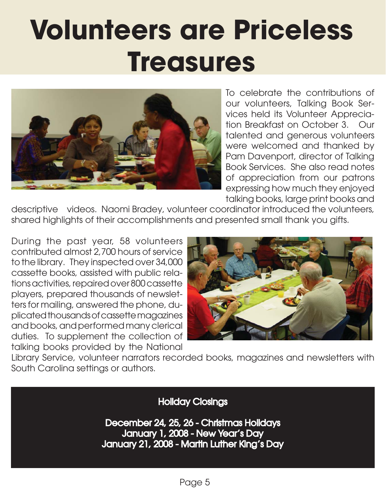# **Volunteers are Priceless Treasures**



To celebrate the contributions of our volunteers, Talking Book Services held its Volunteer Appreciation Breakfast on October 3. Our talented and generous volunteers were welcomed and thanked by Pam Davenport, director of Talking Book Services. She also read notes of appreciation from our patrons expressing how much they enjoyed talking books, large print books and

descriptive videos. Naomi Bradey, volunteer coordinator introduced the volunteers, shared highlights of their accomplishments and presented small thank you gifts.

During the past year, 58 volunteers contributed almost 2,700 hours of service to the library. They inspected over 34,000 cassette books, assisted with public relations activities, repaired over 800 cassette players, prepared thousands of newsletters for mailing, answered the phone, duplicated thousands of cassette magazines and books, and performed many clerical duties. To supplement the collection of talking books provided by the National



Library Service, volunteer narrators recorded books, magazines and newsletters with South Carolina settings or authors.

Holiday Closings

December 24, 25, 26 - Christmas Holidays January 1, 2008 - New Year's Day January 21, 2008 - Martin Luther King's Day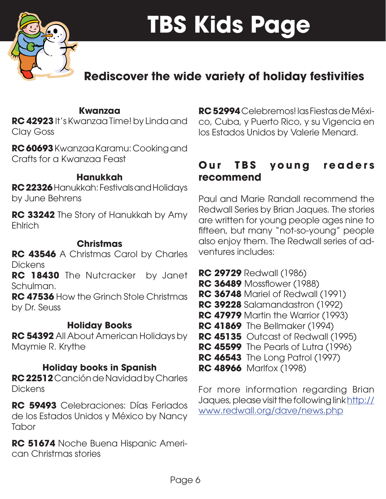

## **Rediscover the wide variety of holiday festivities**

## **Kwanzaa**

**RC 42923** It's Kwanzaa Time! by Linda and Clay Goss

**RC 60693** Kwanzaa Karamu: Cooking and Crafts for a Kwanzaa Feast

### **Hanukkah**

**RC 22326** Hanukkah: Festivals and Holidays by June Behrens

**RC 33242** The Story of Hanukkah by Amy Ehlrich

## **Christmas**

**RC 43546** A Christmas Carol by Charles **Dickens** 

**RC 18430** The Nutcracker by Janet Schulman.

**RC 47536** How the Grinch Stole Christmas by Dr. Seuss

## **Holiday Books**

**RC 54392** All About American Holidays by Maymie R. Krythe

## **Holiday books in Spanish**

**RC 22512** Canción de Navidad by Charles **Dickens** 

**RC 59493** Celebraciones: Días Feriados de los Estados Unidos y México by Nancy **Tabor** 

**RC 51674** Noche Buena Hispanic American Christmas stories

**RC 52994** Celebremos! las Fiestas de México, Cuba, y Puerto Rico, y su Vigencia en los Estados Unidos by Valerie Menard.

## **Our TBS young readers recommend**

Paul and Marie Randall recommend the Redwall Series by Brian Jaques. The stories are written for young people ages nine to fifteen, but many "not-so-young" people also enjoy them. The Redwall series of adventures includes:

- **RC 29729** Redwall (1986)
- **RC 36489** Mossflower (1988)
- **RC 36748** Mariel of Redwall (1991)
- **RC 39228** Salamandastron (1992)
- **RC 47979** Martin the Warrior (1993)
- **RC 41869** The Bellmaker (1994)
- **RC 45135** Outcast of Redwall (1995)
- **RC 45599** The Pearls of Lutra (1996)
- **RC 46543** The Long Patrol (1997)
- **RC 48966** Marlfox (1998)

For more information regarding Brian Jaques, please visit the following link http:// www.redwall.org/dave/news.php